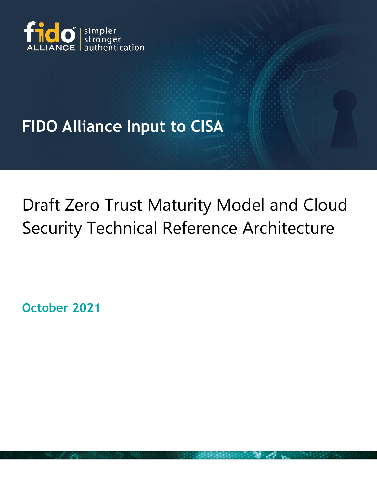

## **FIDO Alliance Input to CISA**

## Draft Zero Trust Maturity Model and Cloud Security Technical Reference Architecture

**October 2021**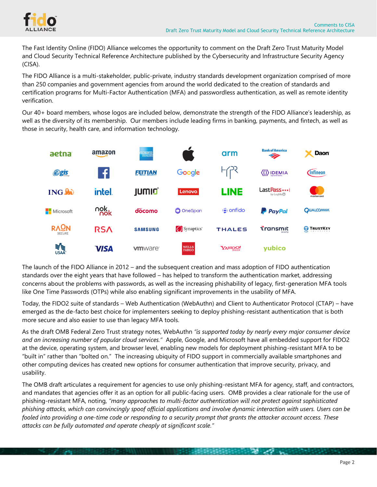

The Fast Identity Online (FIDO) Alliance welcomes the opportunity to comment on the Draft Zero Trust Maturity Model and Cloud Security Technical Reference Architecture published by the Cybersecurity and Infrastructure Security Agency (CISA).

The FIDO Alliance is a multi-stakeholder, public-private, industry standards development organization comprised of more than 250 companies and government agencies from around the world dedicated to the creation of standards and certification programs for Multi-Factor Authentication (MFA) and passwordless authentication, as well as remote identity verification.

Our 40+ board members, whose logos are included below, demonstrate the strength of the FIDO Alliance's leadership, as well as the diversity of its membership. Our members include leading firms in banking, payments, and fintech, as well as those in security, health care, and information technology.



The launch of the FIDO Alliance in 2012 – and the subsequent creation and mass adoption of FIDO authentication standards over the eight years that have followed – has helped to transform the authentication market, addressing concerns about the problems with passwords, as well as the increasing phishability of legacy, first-generation MFA tools like One Time Passwords (OTPs) while also enabling significant improvements in the usability of MFA.

Today, the FIDO2 suite of standards – Web Authentication (WebAuthn) and Client to Authenticator Protocol (CTAP) – have emerged as the de-facto best choice for implementers seeking to deploy phishing-resistant authentication that is both more secure and also easier to use than legacy MFA tools.

As the draft OMB Federal Zero Trust strategy notes, WebAuthn *"is supported today by nearly every major consumer device and an increasing number of popular cloud services."* Apple, Google, and Microsoft have all embedded support for FIDO2 at the device, operating system, and browser level, enabling new models for deployment phishing-resistant MFA to be "built in" rather than "bolted on." The increasing ubiquity of FIDO support in commercially available smartphones and other computing devices has created new options for consumer authentication that improve security, privacy, and usability.

The OMB draft articulates a requirement for agencies to use only phishing-resistant MFA for agency, staff, and contractors, and mandates that agencies offer it as an option for all public-facing users. OMB provides a clear rationale for the use of phishing-resistant MFA, noting, *"many approaches to multi-factor authentication will not protect against sophisticated phishing attacks, which can convincingly spoof official applications and involve dynamic interaction with users. Users can be fooled into providing a one-time code or responding to a security prompt that grants the attacker account access. These attacks can be fully automated and operate cheaply at significant scale."*

*CARD CROSS CONTRACTORY AND STATE AND STATE AND STATE AND STATE AND STATE AND STATE AND STATE AND STATE AND STATE*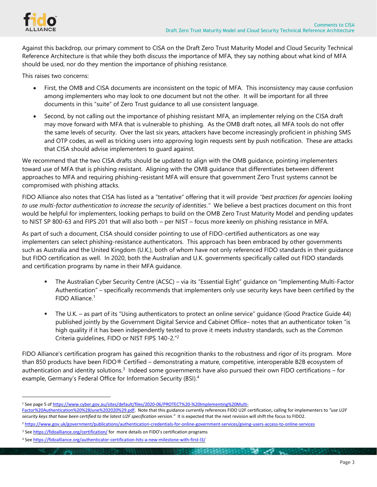

Against this backdrop, our primary comment to CISA on the Draft Zero Trust Maturity Model and Cloud Security Technical Reference Architecture is that while they both discuss the importance of MFA, they say nothing about what kind of MFA should be used, nor do they mention the importance of phishing resistance.

This raises two concerns:

- First, the OMB and CISA documents are inconsistent on the topic of MFA. This inconsistency may cause confusion among implementers who may look to one document but not the other. It will be important for all three documents in this "suite" of Zero Trust guidance to all use consistent language.
- Second, by not calling out the importance of phishing resistant MFA, an implementer relying on the CISA draft may move forward with MFA that is vulnerable to phishing. As the OMB draft notes, all MFA tools do not offer the same levels of security. Over the last six years, attackers have become increasingly proficient in phishing SMS and OTP codes, as well as tricking users into approving login requests sent by push notification. These are attacks that CISA should advise implementers to guard against.

We recommend that the two CISA drafts should be updated to align with the OMB guidance, pointing implementers toward use of MFA that is phishing resistant. Aligning with the OMB guidance that differentiates between different approaches to MFA and requiring phishing-resistant MFA will ensure that government Zero Trust systems cannot be compromised with phishing attacks.

FIDO Alliance also notes that CISA has listed as a "tentative" offering that it will provide *"best practices for agencies looking to use multi-factor authentication to increase the security of identities."* We believe a best practices document on this front would be helpful for implementers, looking perhaps to build on the OMB Zero Trust Maturity Model and pending updates to NIST SP 800-63 and FIPS 201 that will also both – per NIST – focus more keenly on phishing resistance in MFA.

As part of such a document, CISA should consider pointing to use of FIDO-certified authenticators as one way implementers can select phishing-resistance authenticators. This approach has been embraced by other governments such as Australia and the United Kingdom (U.K.), both of whom have not only referenced FIDO standards in their guidance but FIDO certification as well. In 2020, both the Australian and U.K. governments specifically called out FIDO standards and certification programs by name in their MFA guidance.

- The Australian Cyber Security Centre (ACSC) via its "Essential Eight" guidance on "Implementing Multi-Factor Authentication" – specifically recommends that implementers only use security keys have been certified by the FIDO Alliance.<sup>1</sup>
- The U.K. as part of its "Using authenticators to protect an online service" guidance (Good Practice Guide 44) published jointly by the Government Digital Service and Cabinet Office– notes that an authenticator token "is high quality if it has been independently tested to prove it meets industry standards, such as the Common Criteria guidelines, FIDO or NIST FIPS 140-2."<sup>2</sup>

FIDO Alliance's certification program has gained this recognition thanks to the robustness and rigor of its program. More than 850 products have been FIDO® Certified – demonstrating a mature, competitive, interoperable B2B ecosystem of authentication and identity solutions.<sup>3</sup> Indeed some governments have also pursued their own FIDO certifications – for example, Germany's Federal Office for Information Security (BSI).<sup>4</sup>

 $\sim$ 

<sup>1</sup> See page 5 of [https://www.cyber.gov.au/sites/default/files/2020-06/PROTECT%20-%20Implementing%20Multi-](https://www.cyber.gov.au/sites/default/files/2020-06/PROTECT%20-%20Implementing%20Multi-Factor%20Authentication%20%28June%202020%29.pdf)

[Factor%20Authentication%20%28June%202020%29.pdf.](https://www.cyber.gov.au/sites/default/files/2020-06/PROTECT%20-%20Implementing%20Multi-Factor%20Authentication%20%28June%202020%29.pdf) Note that this guidance currently references FIDO U2F certification, calling for implementers to *"use U2F* security keys that have been certified to the latest U2F specification version." It is expected that the next revision will shift the focus to FIDO2.

<sup>2</sup> <https://www.gov.uk/government/publications/authentication-credentials-for-online-government-services/giving-users-access-to-online-services>

<sup>3</sup> See <https://fidoalliance.org/certification/> for more details on FIDO's certification programs

<sup>4</sup> See <https://fidoalliance.org/authenticator-certification-hits-a-new-milestone-with-first-l3/>